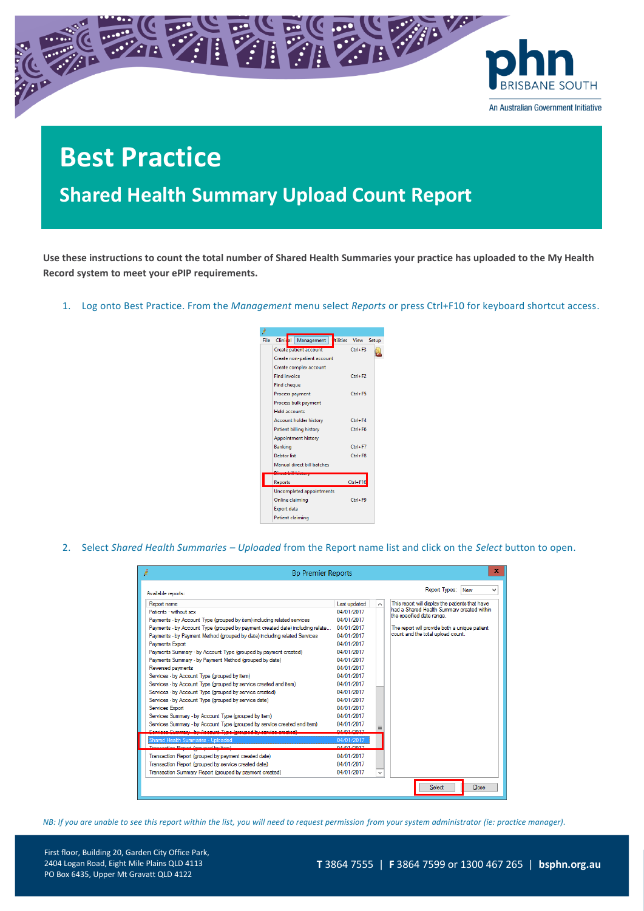

## **Best Practice**

**Shared Health Summary Upload Count Report**

**Use these instructions to count the total number of Shared Health Summaries your practice has uploaded to the My Health Record system to meet your ePIP requirements.** 

1. Log onto Best Practice. From the *Management* menu select *Reports* or press Ctrl+F10 for keyboard shortcut access.



2. Select *Shared Health Summaries – Uploaded* from the Report name list and click on the *Select* button to open.

| x<br>Ŕ<br><b>Bp Premier Reports</b>                                           |              |              |                                                                                                                            |  |  |  |
|-------------------------------------------------------------------------------|--------------|--------------|----------------------------------------------------------------------------------------------------------------------------|--|--|--|
| Available reports:                                                            |              |              | Report Types: New                                                                                                          |  |  |  |
| Report name                                                                   | Last updated | $\sim$       | This report will display the patients that have<br>had a Shared Health Summary created within<br>the specified date range. |  |  |  |
| Patients - without sex                                                        | 04/01/2017   |              |                                                                                                                            |  |  |  |
| Payments - by Account Type (grouped by item) including related services       | 04/01/2017   |              |                                                                                                                            |  |  |  |
| Payments - by Account Type (grouped by payment created date) including relate | 04/01/2017   |              | The report will provide both a unique patient                                                                              |  |  |  |
| Payments - by Payment Method (grouped by date) including related Services     | 04/01/2017   |              | count and the total upload count.                                                                                          |  |  |  |
| Payments Export                                                               | 04/01/2017   |              |                                                                                                                            |  |  |  |
| Payments Summary - by Account Type (grouped by payment created)               | 04/01/2017   |              |                                                                                                                            |  |  |  |
| Payments Summary - by Payment Method (grouped by date)                        | 04/01/2017   |              |                                                                                                                            |  |  |  |
| Reversed payments                                                             | 04/01/2017   |              |                                                                                                                            |  |  |  |
| Services - by Account Type (grouped by item)                                  | 04/01/2017   |              |                                                                                                                            |  |  |  |
| Services - by Account Type (grouped by service created and item)              | 04/01/2017   |              |                                                                                                                            |  |  |  |
| Services - by Account Type (grouped by service created)                       | 04/01/2017   |              |                                                                                                                            |  |  |  |
| Services - by Account Type (grouped by service date)                          | 04/01/2017   |              |                                                                                                                            |  |  |  |
| Services Export                                                               | 04/01/2017   |              |                                                                                                                            |  |  |  |
| Services Summary - by Account Type (grouped by item)                          | 04/01/2017   |              |                                                                                                                            |  |  |  |
| Services Summary - by Account Type (grouped by service created and item)      | 04/01/2017   |              |                                                                                                                            |  |  |  |
| Sensione Summary, by Account Type (amuned by cension created)                 | 04/01/2017   |              |                                                                                                                            |  |  |  |
| Shared Health Summaries - Uploaded                                            | 04/01/2017   |              |                                                                                                                            |  |  |  |
| Transaction Report (grouped by item)                                          | B470172017   |              |                                                                                                                            |  |  |  |
| Transaction Report (grouped by payment created date)                          | 04/01/2017   |              |                                                                                                                            |  |  |  |
| Transaction Report (grouped by service created date)                          | 04/01/2017   |              |                                                                                                                            |  |  |  |
| Transaction Summary Report (grouped by payment created)                       | 04/01/2017   | $\checkmark$ |                                                                                                                            |  |  |  |
|                                                                               |              |              | Select<br>Close                                                                                                            |  |  |  |

*NB: If you are unable to see this report within the list, you will need to request permission from your system administrator (ie: practice manager).*

First floor, Building 20, Garden City Office Park, 2404 Logan Road, Eight Mile Plains QLD 4113 PO Box 6435, Upper Mt Gravatt QLD 4122